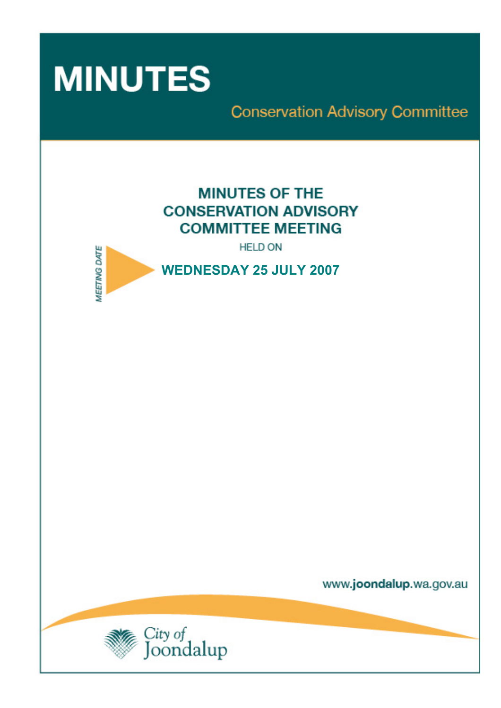

**Conservation Advisory Committee** 

# **MINUTES OF THE CONSERVATION ADVISORY COMMITTEE MEETING**

**HELD ON** 



www.joondalup.wa.gov.au

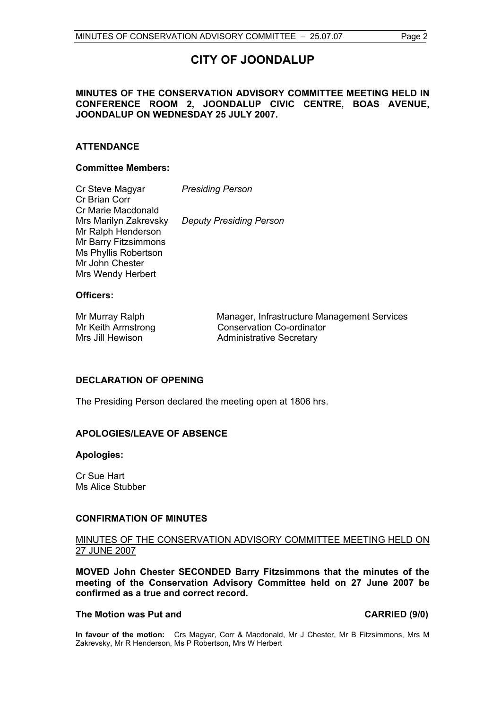# **CITY OF JOONDALUP**

### **MINUTES OF THE CONSERVATION ADVISORY COMMITTEE MEETING HELD IN CONFERENCE ROOM 2, JOONDALUP CIVIC CENTRE, BOAS AVENUE, JOONDALUP ON WEDNESDAY 25 JULY 2007.**

### **ATTENDANCE**

### **Committee Members:**

| Cr Steve Magyar<br>Cr Brian Corr | <b>Presiding Person</b>        |
|----------------------------------|--------------------------------|
| Cr Marie Macdonald               |                                |
| Mrs Marilyn Zakrevsky            | <b>Deputy Presiding Person</b> |
| Mr Ralph Henderson               |                                |
| Mr Barry Fitzsimmons             |                                |
| Ms Phyllis Robertson             |                                |
| Mr John Chester                  |                                |
| Mrs Wendy Herbert                |                                |

### **Officers:**

Mr Murray Ralph Manager, Infrastructure Management Services Mr Keith Armstrong Conservation Co-ordinator Mrs Jill Hewison **Administrative Secretary** 

### **DECLARATION OF OPENING**

The Presiding Person declared the meeting open at 1806 hrs.

### **APOLOGIES/LEAVE OF ABSENCE**

### **Apologies:**

Cr Sue Hart Ms Alice Stubber

### **CONFIRMATION OF MINUTES**

### MINUTES OF THE CONSERVATION ADVISORY COMMITTEE MEETING HELD ON 27 JUNE 2007

**MOVED John Chester SECONDED Barry Fitzsimmons that the minutes of the meeting of the Conservation Advisory Committee held on 27 June 2007 be confirmed as a true and correct record.** 

### The Motion was Put and **CARRIED** (9/0)

**In favour of the motion:** Crs Magyar, Corr & Macdonald, Mr J Chester, Mr B Fitzsimmons, Mrs M Zakrevsky, Mr R Henderson, Ms P Robertson, Mrs W Herbert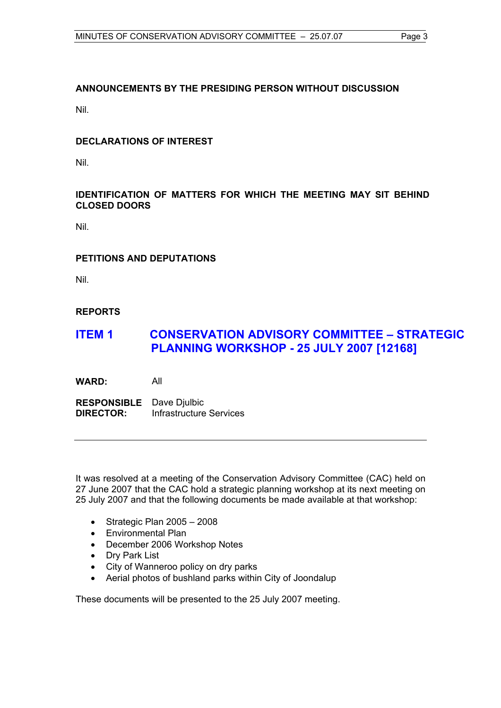## **ANNOUNCEMENTS BY THE PRESIDING PERSON WITHOUT DISCUSSION**

Nil.

### **DECLARATIONS OF INTEREST**

Nil.

### **IDENTIFICATION OF MATTERS FOR WHICH THE MEETING MAY SIT BEHIND CLOSED DOORS**

Nil.

### **PETITIONS AND DEPUTATIONS**

Nil.

### **REPORTS**

# **ITEM 1 CONSERVATION ADVISORY COMMITTEE – STRATEGIC PLANNING WORKSHOP - 25 JULY 2007 [12168]**

**WARD:** All

**RESPONSIBLE** Dave Djulbic **DIRECTOR:** Infrastructure Services

It was resolved at a meeting of the Conservation Advisory Committee (CAC) held on 27 June 2007 that the CAC hold a strategic planning workshop at its next meeting on 25 July 2007 and that the following documents be made available at that workshop:

- Strategic Plan 2005 2008
- Environmental Plan
- December 2006 Workshop Notes
- Dry Park List
- City of Wanneroo policy on dry parks
- Aerial photos of bushland parks within City of Joondalup

These documents will be presented to the 25 July 2007 meeting.